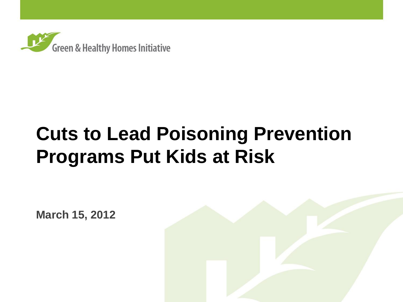

# **Cuts to Lead Poisoning Prevention Programs Put Kids at Risk**

**March 15, 2012**

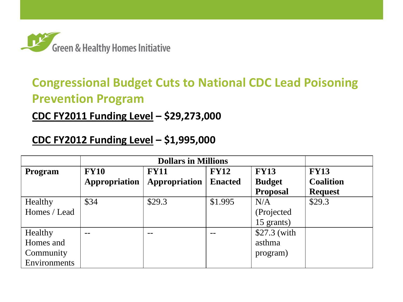

## **Congressional Budget Cuts to National CDC Lead Poisoning Prevention Program**

#### **CDC FY2011 Funding Level – \$29,273,000**

#### **CDC FY2012 Funding Level – \$1,995,000**

| <b>Program</b> | <b>FY10</b>   | <b>FY11</b>   | <b>FY12</b>    | <b>FY13</b>     | <b>FY13</b>      |
|----------------|---------------|---------------|----------------|-----------------|------------------|
|                | Appropriation | Appropriation | <b>Enacted</b> | <b>Budget</b>   | <b>Coalition</b> |
|                |               |               |                | <b>Proposal</b> | <b>Request</b>   |
| Healthy        | \$34          | \$29.3        | \$1.995        | N/A             | \$29.3           |
| Homes / Lead   |               |               |                | (Projected      |                  |
|                |               |               |                | 15 grants)      |                  |
| Healthy        | --            | --            | $- -$          | $$27.3$ (with   |                  |
| Homes and      |               |               |                | asthma          |                  |
| Community      |               |               |                | program)        |                  |
| Environments   |               |               |                |                 |                  |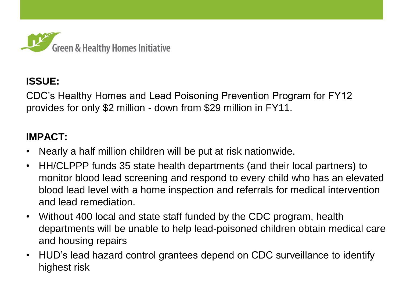

CDC's Healthy Homes and Lead Poisoning Prevention Program for FY12 provides for only \$2 million - down from \$29 million in FY11.

#### **IMPACT:**

- Nearly a half million children will be put at risk nationwide.
- HH/CLPPP funds 35 state health departments (and their local partners) to monitor blood lead screening and respond to every child who has an elevated blood lead level with a home inspection and referrals for medical intervention and lead remediation.
- Without 400 local and state staff funded by the CDC program, health departments will be unable to help lead-poisoned children obtain medical care and housing repairs
- HUD's lead hazard control grantees depend on CDC surveillance to identify highest risk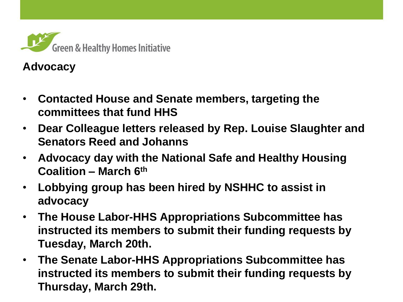

## **Advocacy**

- **Contacted House and Senate members, targeting the committees that fund HHS**
- **Dear Colleague letters released by Rep. Louise Slaughter and Senators Reed and Johanns**

Ξ

- **Advocacy day with the National Safe and Healthy Housing Coalition – March 6th**
- **Lobbying group has been hired by NSHHC to assist in advocacy**
- **The House Labor-HHS Appropriations Subcommittee has instructed its members to submit their funding requests by Tuesday, March 20th.**
- **The Senate Labor-HHS Appropriations Subcommittee has instructed its members to submit their funding requests by Thursday, March 29th.**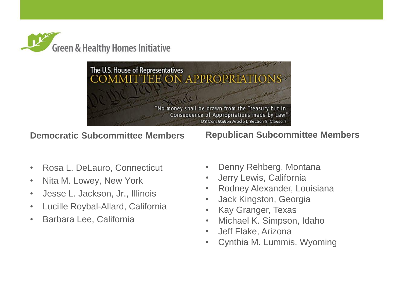



**Democratic Subcommittee Members**

• Rosa L. DeLauro, Connecticut

- Nita M. Lowey, New York
- Jesse L. Jackson, Jr., Illinois
- Lucille Roybal-Allard, California
- Barbara Lee, California

- Denny Rehberg, Montana
- Jerry Lewis, California
- Rodney Alexander, Louisiana
- Jack Kingston, Georgia
- Kay Granger, Texas
- Michael K. Simpson, Idaho
- Jeff Flake, Arizona
- Cynthia M. Lummis, Wyoming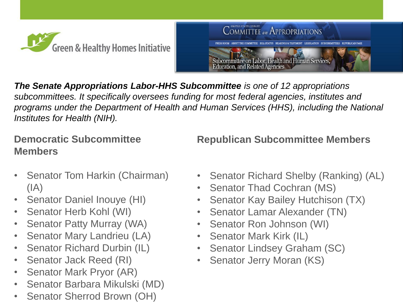



*The Senate Appropriations Labor-HHS Subcommittee is one of 12 appropriations subcommittees. It specifically oversees funding for most federal agencies, institutes and programs under the Department of Health and Human Services (HHS), including the National Institutes for Health (NIH).*

## **Democratic Subcommittee Members**

- Senator Tom Harkin (Chairman)  $(IA)$
- Senator Daniel Inouye (HI)
- Senator Herb Kohl (WI)
- Senator Patty Murray (WA)
- Senator Mary Landrieu (LA)
- Senator Richard Durbin (IL)
- Senator Jack Reed (RI)
- Senator Mark Pryor (AR)
- Senator Barbara Mikulski (MD)
- Senator Sherrod Brown (OH)

- Senator Richard Shelby (Ranking) (AL)
- Senator Thad Cochran (MS)
- Senator Kay Bailey Hutchison (TX)
- Senator Lamar Alexander (TN)
- Senator Ron Johnson (WI)
- Senator Mark Kirk (IL)
- Senator Lindsey Graham (SC)
- Senator Jerry Moran (KS)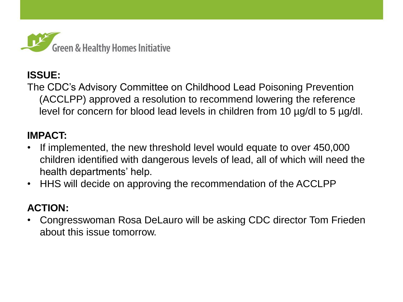

The CDC's Advisory Committee on Childhood Lead Poisoning Prevention (ACCLPP) approved a resolution to recommend lowering the reference level for concern for blood lead levels in children from 10 µg/dl to 5 µg/dl.

#### **IMPACT:**

- If implemented, the new threshold level would equate to over 450,000 children identified with dangerous levels of lead, all of which will need the health departments' help.
- HHS will decide on approving the recommendation of the ACCLPP

## **ACTION:**

• Congresswoman Rosa DeLauro will be asking CDC director Tom Frieden about this issue tomorrow.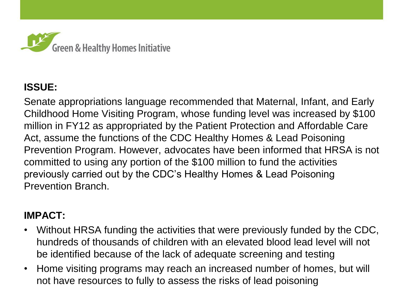

Senate appropriations language recommended that Maternal, Infant, and Early Childhood Home Visiting Program, whose funding level was increased by \$100 million in FY12 as appropriated by the Patient Protection and Affordable Care Act, assume the functions of the CDC Healthy Homes & Lead Poisoning Prevention Program. However, advocates have been informed that HRSA is not committed to using any portion of the \$100 million to fund the activities previously carried out by the CDC's Healthy Homes & Lead Poisoning Prevention Branch.

#### **IMPACT:**

- Without HRSA funding the activities that were previously funded by the CDC, hundreds of thousands of children with an elevated blood lead level will not be identified because of the lack of adequate screening and testing
- Home visiting programs may reach an increased number of homes, but will not have resources to fully to assess the risks of lead poisoning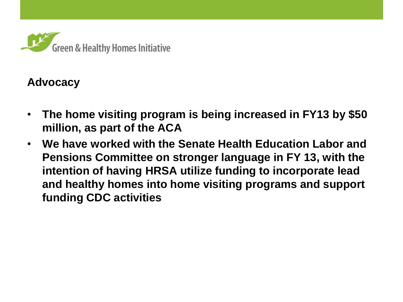

## **Advocacy**

- **The home visiting program is being increased in FY13 by \$50 million, as part of the ACA**
- **We have worked with the Senate Health Education Labor and Pensions Committee on stronger language in FY 13, with the intention of having HRSA utilize funding to incorporate lead and healthy homes into home visiting programs and support funding CDC activities**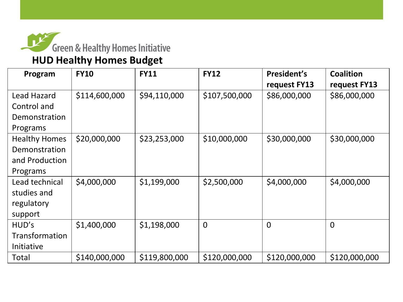

## **HUD Healthy Homes Budget**

| Program              | <b>FY10</b>   | <b>FY11</b>   | <b>FY12</b>   | President's   | <b>Coalition</b> |
|----------------------|---------------|---------------|---------------|---------------|------------------|
|                      |               |               |               | request FY13  | request FY13     |
| <b>Lead Hazard</b>   | \$114,600,000 | \$94,110,000  | \$107,500,000 | \$86,000,000  | \$86,000,000     |
| Control and          |               |               |               |               |                  |
| Demonstration        |               |               |               |               |                  |
| Programs             |               |               |               |               |                  |
| <b>Healthy Homes</b> | \$20,000,000  | \$23,253,000  | \$10,000,000  | \$30,000,000  | \$30,000,000     |
| Demonstration        |               |               |               |               |                  |
| and Production       |               |               |               |               |                  |
| Programs             |               |               |               |               |                  |
| Lead technical       | \$4,000,000   | \$1,199,000   | \$2,500,000   | \$4,000,000   | \$4,000,000      |
| studies and          |               |               |               |               |                  |
| regulatory           |               |               |               |               |                  |
| support              |               |               |               |               |                  |
| HUD's                | \$1,400,000   | \$1,198,000   | $\Omega$      | $\Omega$      | $\overline{0}$   |
| Transformation       |               |               |               |               |                  |
| Initiative           |               |               |               |               |                  |
| Total                | \$140,000,000 | \$119,800,000 | \$120,000,000 | \$120,000,000 | \$120,000,000    |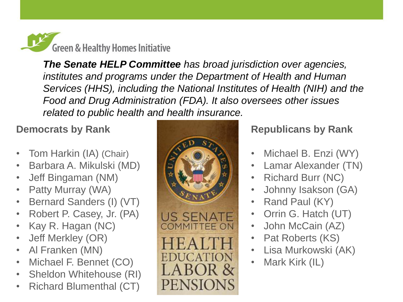

*The Senate HELP Committee has broad jurisdiction over agencies, institutes and programs under the Department of Health and Human Services (HHS), including the National Institutes of Health (NIH) and the Food and Drug Administration (FDA). It also oversees other issues related to public health and health insurance.* 

## **Democrats by Rank**

- Tom Harkin (IA) (Chair)
- Barbara A. Mikulski (MD)
- Jeff Bingaman (NM)
- Patty Murray (WA)
- Bernard Sanders (I) (VT)
- Robert P. Casey, Jr. (PA)
- Kay R. Hagan (NC)
- Jeff Merkley (OR)
- Al Franken (MN)
- Michael F. Bennet (CO)
- Sheldon Whitehouse (RI)
- Richard Blumenthal (CT)



## **Republicans by Rank**

- Michael B. Enzi (WY)
- Lamar Alexander (TN)
- Richard Burr (NC)
- Johnny Isakson (GA)
- Rand Paul (KY)
- Orrin G. Hatch (UT)
- John McCain (AZ)
- Pat Roberts (KS)
- Lisa Murkowski (AK)
- Mark Kirk (IL)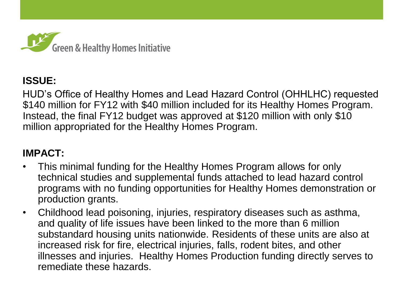

HUD's Office of Healthy Homes and Lead Hazard Control (OHHLHC) requested \$140 million for FY12 with \$40 million included for its Healthy Homes Program. Instead, the final FY12 budget was approved at \$120 million with only \$10 million appropriated for the Healthy Homes Program.

#### **IMPACT:**

- This minimal funding for the Healthy Homes Program allows for only technical studies and supplemental funds attached to lead hazard control programs with no funding opportunities for Healthy Homes demonstration or production grants.
- Childhood lead poisoning, injuries, respiratory diseases such as asthma, and quality of life issues have been linked to the more than 6 million substandard housing units nationwide. Residents of these units are also at increased risk for fire, electrical injuries, falls, rodent bites, and other illnesses and injuries. Healthy Homes Production funding directly serves to remediate these hazards.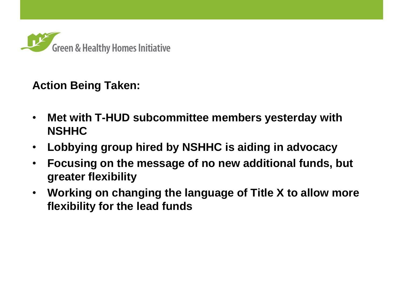

## **Action Being Taken:**

- **Met with T-HUD subcommittee members yesterday with NSHHC**
- **Lobbying group hired by NSHHC is aiding in advocacy**
- **Focusing on the message of no new additional funds, but greater flexibility**
- **Working on changing the language of Title X to allow more flexibility for the lead funds**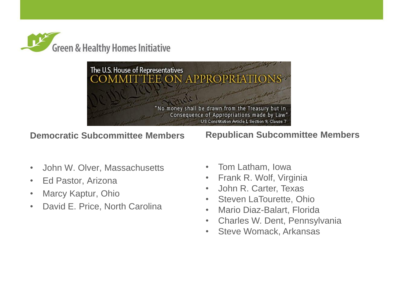



**Democratic Subcommittee Members**

• John W. Olver, Massachusetts

- Ed Pastor, Arizona
- Marcy Kaptur, Ohio
- David E. Price, North Carolina

- Tom Latham, Iowa
- Frank R. Wolf, Virginia
- John R. Carter, Texas
- Steven LaTourette, Ohio
- Mario Diaz-Balart, Florida
- Charles W. Dent, Pennsylvania
- Steve Womack, Arkansas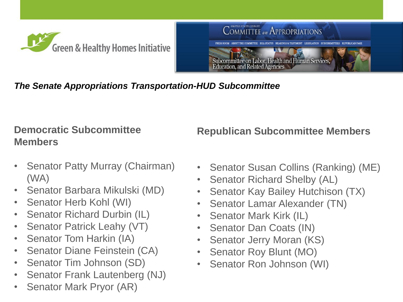



*The Senate Appropriations Transportation-HUD Subcommittee*

## **Democratic Subcommittee Members**

- Senator Patty Murray (Chairman) (WA)
- Senator Barbara Mikulski (MD)
- Senator Herb Kohl (WI)
- Senator Richard Durbin (IL)
- Senator Patrick Leahy (VT)
- Senator Tom Harkin (IA)
- Senator Diane Feinstein (CA)
- Senator Tim Johnson (SD)
- Senator Frank Lautenberg (NJ)
- Senator Mark Pryor (AR)

- Senator Susan Collins (Ranking) (ME)
- Senator Richard Shelby (AL)
- Senator Kay Bailey Hutchison (TX)
- Senator Lamar Alexander (TN)
- Senator Mark Kirk (IL)
- Senator Dan Coats (IN)
- Senator Jerry Moran (KS)
- Senator Roy Blunt (MO)
- Senator Ron Johnson (WI)